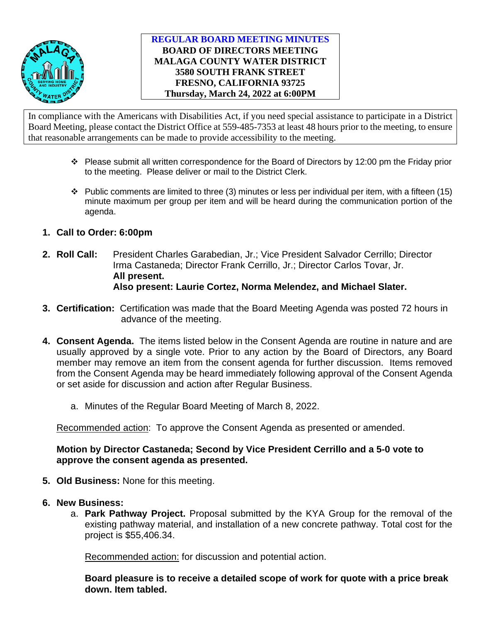

### **REGULAR BOARD MEETING MINUTES BOARD OF DIRECTORS MEETING MALAGA COUNTY WATER DISTRICT 3580 SOUTH FRANK STREET FRESNO, CALIFORNIA 93725 Thursday, March 24, 2022 at 6:00PM**

In compliance with the Americans with Disabilities Act, if you need special assistance to participate in a District Board Meeting, please contact the District Office at 559-485-7353 at least 48 hours prior to the meeting, to ensure that reasonable arrangements can be made to provide accessibility to the meeting.

- $\cdot \cdot$  Please submit all written correspondence for the Board of Directors by 12:00 pm the Friday prior to the meeting. Please deliver or mail to the District Clerk.
- $\cdot \cdot$  Public comments are limited to three (3) minutes or less per individual per item, with a fifteen (15) minute maximum per group per item and will be heard during the communication portion of the agenda.
- **1. Call to Order: 6:00pm**
- **2. Roll Call:** President Charles Garabedian, Jr.; Vice President Salvador Cerrillo; Director Irma Castaneda; Director Frank Cerrillo, Jr.; Director Carlos Tovar, Jr. **All present. Also present: Laurie Cortez, Norma Melendez, and Michael Slater.**
- **3. Certification:** Certification was made that the Board Meeting Agenda was posted 72 hours in advance of the meeting.
- **4. Consent Agenda.** The items listed below in the Consent Agenda are routine in nature and are usually approved by a single vote. Prior to any action by the Board of Directors, any Board member may remove an item from the consent agenda for further discussion. Items removed from the Consent Agenda may be heard immediately following approval of the Consent Agenda or set aside for discussion and action after Regular Business.
	- a. Minutes of the Regular Board Meeting of March 8, 2022.

Recommended action: To approve the Consent Agenda as presented or amended.

# **Motion by Director Castaneda; Second by Vice President Cerrillo and a 5-0 vote to approve the consent agenda as presented.**

- **5. Old Business:** None for this meeting.
- **6. New Business:**
	- a. **Park Pathway Project.** Proposal submitted by the KYA Group for the removal of the existing pathway material, and installation of a new concrete pathway. Total cost for the project is \$55,406.34.

Recommended action: for discussion and potential action.

**Board pleasure is to receive a detailed scope of work for quote with a price break down. Item tabled.**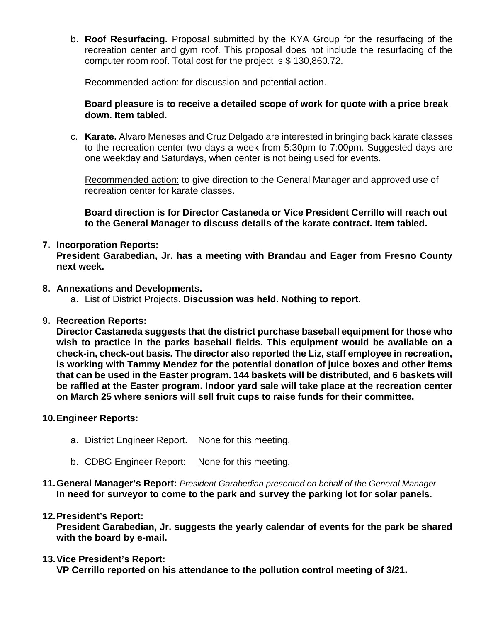b. **Roof Resurfacing.** Proposal submitted by the KYA Group for the resurfacing of the recreation center and gym roof. This proposal does not include the resurfacing of the computer room roof. Total cost for the project is \$ 130,860.72.

Recommended action: for discussion and potential action.

### **Board pleasure is to receive a detailed scope of work for quote with a price break down. Item tabled.**

c. **Karate.** Alvaro Meneses and Cruz Delgado are interested in bringing back karate classes to the recreation center two days a week from 5:30pm to 7:00pm. Suggested days are one weekday and Saturdays, when center is not being used for events.

Recommended action: to give direction to the General Manager and approved use of recreation center for karate classes.

**Board direction is for Director Castaneda or Vice President Cerrillo will reach out to the General Manager to discuss details of the karate contract. Item tabled.**

## **7. Incorporation Reports:**

**President Garabedian, Jr. has a meeting with Brandau and Eager from Fresno County next week.** 

### **8. Annexations and Developments.**

- a. List of District Projects. **Discussion was held. Nothing to report.**
- **9. Recreation Reports:**

**Director Castaneda suggests that the district purchase baseball equipment for those who wish to practice in the parks baseball fields. This equipment would be available on a check-in, check-out basis. The director also reported the Liz, staff employee in recreation, is working with Tammy Mendez for the potential donation of juice boxes and other items that can be used in the Easter program. 144 baskets will be distributed, and 6 baskets will be raffled at the Easter program. Indoor yard sale will take place at the recreation center on March 25 where seniors will sell fruit cups to raise funds for their committee.** 

### **10.Engineer Reports:**

- a. District Engineer Report. None for this meeting.
- b. CDBG Engineer Report: None for this meeting.
- **11.General Manager's Report:** *President Garabedian presented on behalf of the General Manager.* **In need for surveyor to come to the park and survey the parking lot for solar panels.**

### **12.President's Report:**

**President Garabedian, Jr. suggests the yearly calendar of events for the park be shared with the board by e-mail.** 

### **13.Vice President's Report:**

**VP Cerrillo reported on his attendance to the pollution control meeting of 3/21.**